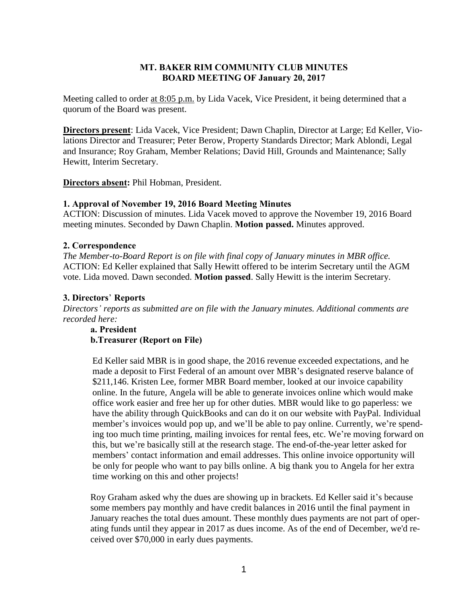### **MT. BAKER RIM COMMUNITY CLUB MINUTES BOARD MEETING OF January 20, 2017**

Meeting called to order at 8:05 p.m. by Lida Vacek, Vice President, it being determined that a quorum of the Board was present.

**Directors present**: Lida Vacek, Vice President; Dawn Chaplin, Director at Large; Ed Keller, Violations Director and Treasurer; Peter Berow, Property Standards Director; Mark Ablondi, Legal and Insurance; Roy Graham, Member Relations; David Hill, Grounds and Maintenance; Sally Hewitt, Interim Secretary.

**Directors absent:** Phil Hobman, President.

### **1. Approval of November 19, 2016 Board Meeting Minutes**

ACTION: Discussion of minutes. Lida Vacek moved to approve the November 19, 2016 Board meeting minutes. Seconded by Dawn Chaplin. **Motion passed.** Minutes approved.

#### **2. Correspondence**

*The Member-to-Board Report is on file with final copy of January minutes in MBR office.* ACTION: Ed Keller explained that Sally Hewitt offered to be interim Secretary until the AGM vote. Lida moved. Dawn seconded. **Motion passed**. Sally Hewitt is the interim Secretary.

#### **3. Directors**' **Reports**

*Directors' reports as submitted are on file with the January minutes. Additional comments are recorded here:*

**a. President b.Treasurer (Report on File)**

Ed Keller said MBR is in good shape, the 2016 revenue exceeded expectations, and he made a deposit to First Federal of an amount over MBR's designated reserve balance of \$211,146. Kristen Lee, former MBR Board member, looked at our invoice capability online. In the future, Angela will be able to generate invoices online which would make office work easier and free her up for other duties. MBR would like to go paperless: we have the ability through QuickBooks and can do it on our website with PayPal. Individual member's invoices would pop up, and we'll be able to pay online. Currently, we're spending too much time printing, mailing invoices for rental fees, etc. We're moving forward on this, but we're basically still at the research stage. The end-of-the-year letter asked for members' contact information and email addresses. This online invoice opportunity will be only for people who want to pay bills online. A big thank you to Angela for her extra time working on this and other projects!

Roy Graham asked why the dues are showing up in brackets. Ed Keller said it's because some members pay monthly and have credit balances in 2016 until the final payment in January reaches the total dues amount. These monthly dues payments are not part of operating funds until they appear in 2017 as dues income. As of the end of December, we'd received over \$70,000 in early dues payments.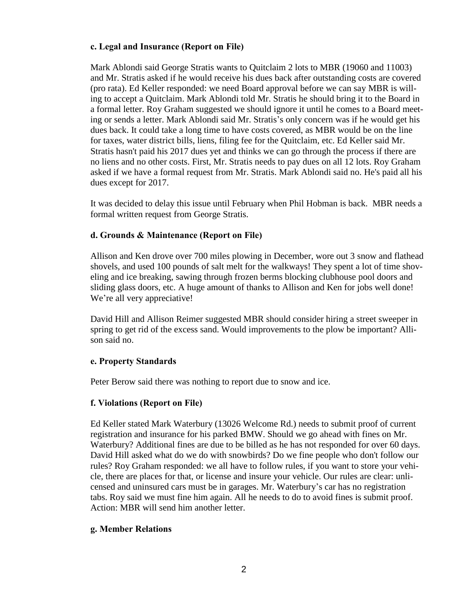# **c. Legal and Insurance (Report on File)**

Mark Ablondi said George Stratis wants to Quitclaim 2 lots to MBR (19060 and 11003) and Mr. Stratis asked if he would receive his dues back after outstanding costs are covered (pro rata). Ed Keller responded: we need Board approval before we can say MBR is willing to accept a Quitclaim. Mark Ablondi told Mr. Stratis he should bring it to the Board in a formal letter. Roy Graham suggested we should ignore it until he comes to a Board meeting or sends a letter. Mark Ablondi said Mr. Stratis's only concern was if he would get his dues back. It could take a long time to have costs covered, as MBR would be on the line for taxes, water district bills, liens, filing fee for the Quitclaim, etc. Ed Keller said Mr. Stratis hasn't paid his 2017 dues yet and thinks we can go through the process if there are no liens and no other costs. First, Mr. Stratis needs to pay dues on all 12 lots. Roy Graham asked if we have a formal request from Mr. Stratis. Mark Ablondi said no. He's paid all his dues except for 2017.

It was decided to delay this issue until February when Phil Hobman is back. MBR needs a formal written request from George Stratis.

## **d. Grounds & Maintenance (Report on File)**

Allison and Ken drove over 700 miles plowing in December, wore out 3 snow and flathead shovels, and used 100 pounds of salt melt for the walkways! They spent a lot of time shoveling and ice breaking, sawing through frozen berms blocking clubhouse pool doors and sliding glass doors, etc. A huge amount of thanks to Allison and Ken for jobs well done! We're all very appreciative!

David Hill and Allison Reimer suggested MBR should consider hiring a street sweeper in spring to get rid of the excess sand. Would improvements to the plow be important? Allison said no.

# **e. Property Standards**

Peter Berow said there was nothing to report due to snow and ice.

### **f. Violations (Report on File)**

Ed Keller stated Mark Waterbury (13026 Welcome Rd.) needs to submit proof of current registration and insurance for his parked BMW. Should we go ahead with fines on Mr. Waterbury? Additional fines are due to be billed as he has not responded for over 60 days. David Hill asked what do we do with snowbirds? Do we fine people who don't follow our rules? Roy Graham responded: we all have to follow rules, if you want to store your vehicle, there are places for that, or license and insure your vehicle. Our rules are clear: unlicensed and uninsured cars must be in garages. Mr. Waterbury's car has no registration tabs. Roy said we must fine him again. All he needs to do to avoid fines is submit proof. Action: MBR will send him another letter.

### **g. Member Relations**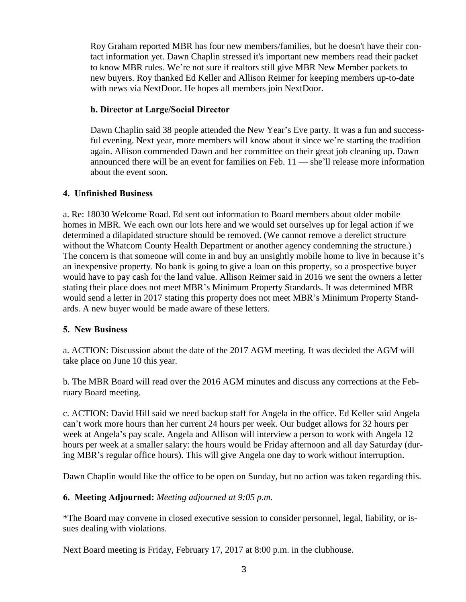Roy Graham reported MBR has four new members/families, but he doesn't have their contact information yet. Dawn Chaplin stressed it's important new members read their packet to know MBR rules. We're not sure if realtors still give MBR New Member packets to new buyers. Roy thanked Ed Keller and Allison Reimer for keeping members up-to-date with news via NextDoor. He hopes all members join NextDoor.

# **h. Director at Large/Social Director**

Dawn Chaplin said 38 people attended the New Year's Eve party. It was a fun and successful evening. Next year, more members will know about it since we're starting the tradition again. Allison commended Dawn and her committee on their great job cleaning up. Dawn announced there will be an event for families on Feb. 11 — she'll release more information about the event soon.

## **4. Unfinished Business**

a. Re: 18030 Welcome Road. Ed sent out information to Board members about older mobile homes in MBR. We each own our lots here and we would set ourselves up for legal action if we determined a dilapidated structure should be removed. (We cannot remove a derelict structure without the Whatcom County Health Department or another agency condemning the structure.) The concern is that someone will come in and buy an unsightly mobile home to live in because it's an inexpensive property. No bank is going to give a loan on this property, so a prospective buyer would have to pay cash for the land value. Allison Reimer said in 2016 we sent the owners a letter stating their place does not meet MBR's Minimum Property Standards. It was determined MBR would send a letter in 2017 stating this property does not meet MBR's Minimum Property Standards. A new buyer would be made aware of these letters.

# **5. New Business**

a. ACTION: Discussion about the date of the 2017 AGM meeting. It was decided the AGM will take place on June 10 this year.

b. The MBR Board will read over the 2016 AGM minutes and discuss any corrections at the February Board meeting.

c. ACTION: David Hill said we need backup staff for Angela in the office. Ed Keller said Angela can't work more hours than her current 24 hours per week. Our budget allows for 32 hours per week at Angela's pay scale. Angela and Allison will interview a person to work with Angela 12 hours per week at a smaller salary: the hours would be Friday afternoon and all day Saturday (during MBR's regular office hours). This will give Angela one day to work without interruption.

Dawn Chaplin would like the office to be open on Sunday, but no action was taken regarding this.

# **6. Meeting Adjourned:** *Meeting adjourned at 9:05 p.m.*

\*The Board may convene in closed executive session to consider personnel, legal, liability, or issues dealing with violations.

Next Board meeting is Friday, February 17, 2017 at 8:00 p.m. in the clubhouse.